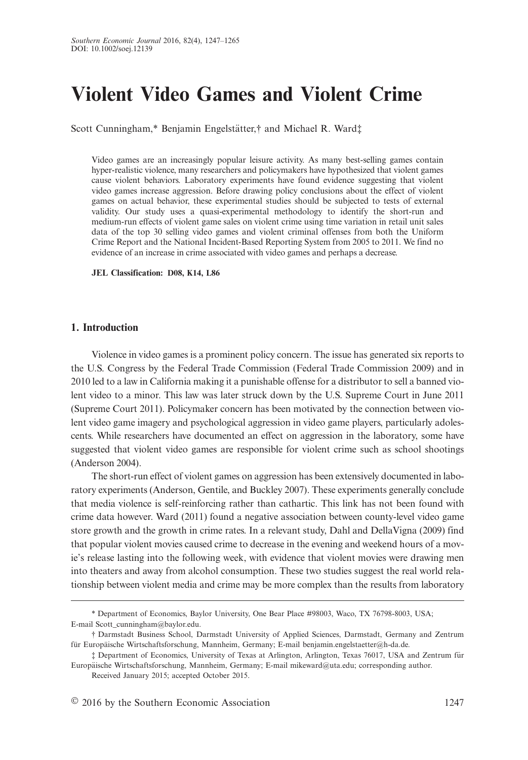# Violent Video Games and Violent Crime

Scott Cunningham,\* Benjamin Engelstätter,† and Michael R. Ward‡

Video games are an increasingly popular leisure activity. As many best-selling games contain hyper-realistic violence, many researchers and policymakers have hypothesized that violent games cause violent behaviors. Laboratory experiments have found evidence suggesting that violent video games increase aggression. Before drawing policy conclusions about the effect of violent games on actual behavior, these experimental studies should be subjected to tests of external validity. Our study uses a quasi-experimental methodology to identify the short-run and medium-run effects of violent game sales on violent crime using time variation in retail unit sales data of the top 30 selling video games and violent criminal offenses from both the Uniform Crime Report and the National Incident-Based Reporting System from 2005 to 2011. We find no evidence of an increase in crime associated with video games and perhaps a decrease.

JEL Classification: D08, K14, L86

#### 1. Introduction

Violence in video games is a prominent policy concern. The issue has generated six reports to the U.S. Congress by the Federal Trade Commission (Federal Trade Commission 2009) and in 2010 led to a law in California making it a punishable offense for a distributor to sell a banned violent video to a minor. This law was later struck down by the U.S. Supreme Court in June 2011 (Supreme Court 2011). Policymaker concern has been motivated by the connection between violent video game imagery and psychological aggression in video game players, particularly adolescents. While researchers have documented an effect on aggression in the laboratory, some have suggested that violent video games are responsible for violent crime such as school shootings (Anderson 2004).

The short-run effect of violent games on aggression has been extensively documented in laboratory experiments (Anderson, Gentile, and Buckley 2007). These experiments generally conclude that media violence is self-reinforcing rather than cathartic. This link has not been found with crime data however. Ward (2011) found a negative association between county-level video game store growth and the growth in crime rates. In a relevant study, Dahl and DellaVigna (2009) find that popular violent movies caused crime to decrease in the evening and weekend hours of a movie's release lasting into the following week, with evidence that violent movies were drawing men into theaters and away from alcohol consumption. These two studies suggest the real world relationship between violent media and crime may be more complex than the results from laboratory

<sup>\*</sup> Department of Economics, Baylor University, One Bear Place #98003, Waco, TX 76798-8003, USA; E-mail Scott\_cunningham@baylor.edu.

<sup>†</sup> Darmstadt Business School, Darmstadt University of Applied Sciences, Darmstadt, Germany and Zentrum für Europäische Wirtschaftsforschung, Mannheim, Germany; E-mail benjamin.engelstaetter@h-da.de.

<sup>‡</sup> Department of Economics, University of Texas at Arlington, Arlington, Texas 76017, USA and Zentrum fur € Europäische Wirtschaftsforschung, Mannheim, Germany; E-mail mikeward@uta.edu; corresponding author.

Received January 2015; accepted October 2015.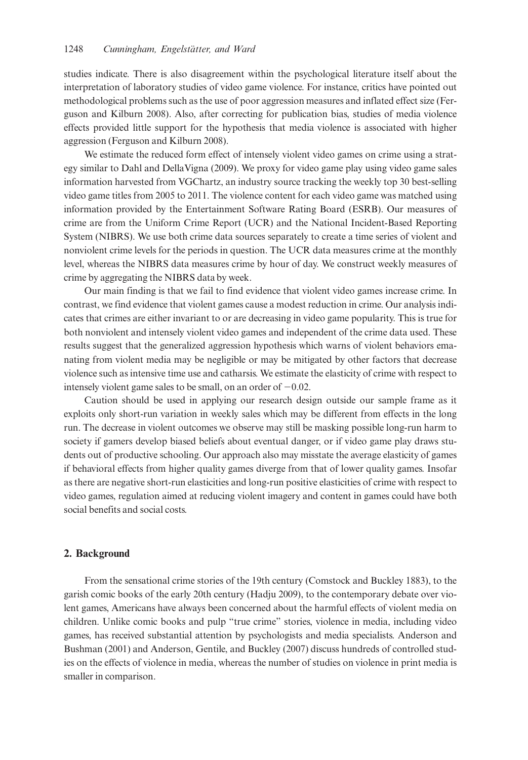studies indicate. There is also disagreement within the psychological literature itself about the interpretation of laboratory studies of video game violence. For instance, critics have pointed out methodological problems such as the use of poor aggression measures and inflated effect size (Ferguson and Kilburn 2008). Also, after correcting for publication bias, studies of media violence effects provided little support for the hypothesis that media violence is associated with higher aggression (Ferguson and Kilburn 2008).

We estimate the reduced form effect of intensely violent video games on crime using a strategy similar to Dahl and DellaVigna (2009). We proxy for video game play using video game sales information harvested from VGChartz, an industry source tracking the weekly top 30 best-selling video game titles from 2005 to 2011. The violence content for each video game was matched using information provided by the Entertainment Software Rating Board (ESRB). Our measures of crime are from the Uniform Crime Report (UCR) and the National Incident-Based Reporting System (NIBRS). We use both crime data sources separately to create a time series of violent and nonviolent crime levels for the periods in question. The UCR data measures crime at the monthly level, whereas the NIBRS data measures crime by hour of day. We construct weekly measures of crime by aggregating the NIBRS data by week.

Our main finding is that we fail to find evidence that violent video games increase crime. In contrast, we find evidence that violent games cause a modest reduction in crime. Our analysis indicates that crimes are either invariant to or are decreasing in video game popularity. This is true for both nonviolent and intensely violent video games and independent of the crime data used. These results suggest that the generalized aggression hypothesis which warns of violent behaviors emanating from violent media may be negligible or may be mitigated by other factors that decrease violence such as intensive time use and catharsis. We estimate the elasticity of crime with respect to intensely violent game sales to be small, on an order of  $-0.02$ .

Caution should be used in applying our research design outside our sample frame as it exploits only short-run variation in weekly sales which may be different from effects in the long run. The decrease in violent outcomes we observe may still be masking possible long-run harm to society if gamers develop biased beliefs about eventual danger, or if video game play draws students out of productive schooling. Our approach also may misstate the average elasticity of games if behavioral effects from higher quality games diverge from that of lower quality games. Insofar as there are negative short-run elasticities and long-run positive elasticities of crime with respect to video games, regulation aimed at reducing violent imagery and content in games could have both social benefits and social costs.

## 2. Background

From the sensational crime stories of the 19th century (Comstock and Buckley 1883), to the garish comic books of the early 20th century (Hadju 2009), to the contemporary debate over violent games, Americans have always been concerned about the harmful effects of violent media on children. Unlike comic books and pulp "true crime" stories, violence in media, including video games, has received substantial attention by psychologists and media specialists. Anderson and Bushman (2001) and Anderson, Gentile, and Buckley (2007) discuss hundreds of controlled studies on the effects of violence in media, whereas the number of studies on violence in print media is smaller in comparison.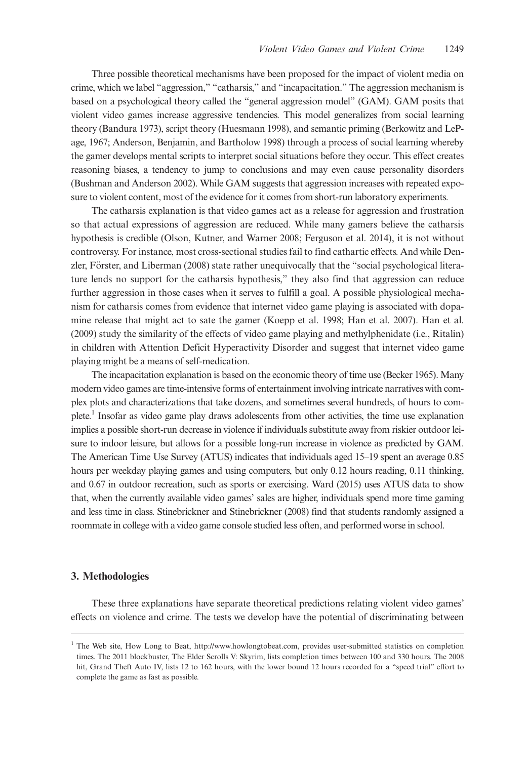Three possible theoretical mechanisms have been proposed for the impact of violent media on crime, which we label "aggression," "catharsis," and "incapacitation." The aggression mechanism is based on a psychological theory called the "general aggression model" (GAM). GAM posits that violent video games increase aggressive tendencies. This model generalizes from social learning theory (Bandura 1973), script theory (Huesmann 1998), and semantic priming (Berkowitz and LePage, 1967; Anderson, Benjamin, and Bartholow 1998) through a process of social learning whereby the gamer develops mental scripts to interpret social situations before they occur. This effect creates reasoning biases, a tendency to jump to conclusions and may even cause personality disorders (Bushman and Anderson 2002). While GAM suggests that aggression increases with repeated exposure to violent content, most of the evidence for it comes from short-run laboratory experiments.

The catharsis explanation is that video games act as a release for aggression and frustration so that actual expressions of aggression are reduced. While many gamers believe the catharsis hypothesis is credible (Olson, Kutner, and Warner 2008; Ferguson et al. 2014), it is not without controversy. For instance, most cross-sectional studies fail to find cathartic effects. And while Denzler, Förster, and Liberman (2008) state rather unequivocally that the "social psychological literature lends no support for the catharsis hypothesis," they also find that aggression can reduce further aggression in those cases when it serves to fulfill a goal. A possible physiological mechanism for catharsis comes from evidence that internet video game playing is associated with dopamine release that might act to sate the gamer (Koepp et al. 1998; Han et al. 2007). Han et al. (2009) study the similarity of the effects of video game playing and methylphenidate (i.e., Ritalin) in children with Attention Deficit Hyperactivity Disorder and suggest that internet video game playing might be a means of self-medication.

The incapacitation explanation is based on the economic theory of time use (Becker 1965). Many modern video games are time-intensive forms of entertainment involving intricate narratives with complex plots and characterizations that take dozens, and sometimes several hundreds, of hours to complete.1 Insofar as video game play draws adolescents from other activities, the time use explanation implies a possible short-run decrease in violence if individuals substitute away from riskier outdoor leisure to indoor leisure, but allows for a possible long-run increase in violence as predicted by GAM. The American Time Use Survey (ATUS) indicates that individuals aged 15–19 spent an average 0.85 hours per weekday playing games and using computers, but only 0.12 hours reading, 0.11 thinking, and 0.67 in outdoor recreation, such as sports or exercising. Ward (2015) uses ATUS data to show that, when the currently available video games' sales are higher, individuals spend more time gaming and less time in class. Stinebrickner and Stinebrickner (2008) find that students randomly assigned a roommate in college with a video game console studied less often, and performed worse in school.

#### 3. Methodologies

These three explanations have separate theoretical predictions relating violent video games' effects on violence and crime. The tests we develop have the potential of discriminating between

<sup>&</sup>lt;sup>1</sup> The Web site, How Long to Beat,<http://www.howlongtobeat.com>, provides user-submitted statistics on completion times. The 2011 blockbuster, The Elder Scrolls V: Skyrim, lists completion times between 100 and 330 hours. The 2008 hit, Grand Theft Auto IV, lists 12 to 162 hours, with the lower bound 12 hours recorded for a "speed trial" effort to complete the game as fast as possible.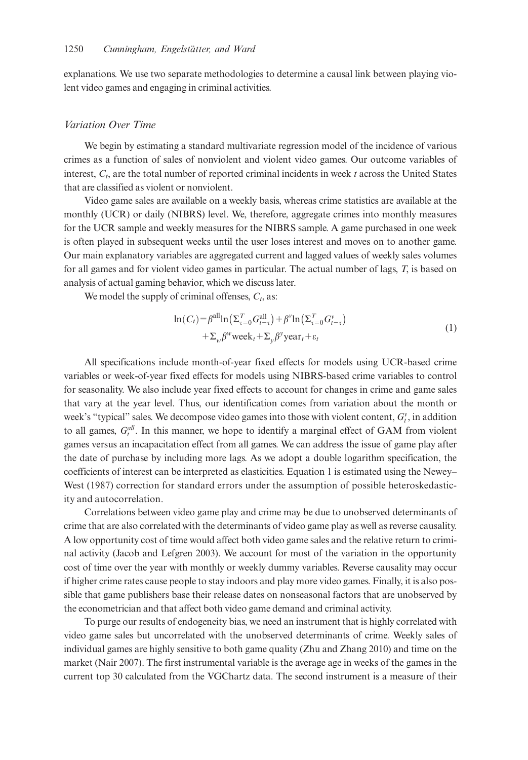explanations. We use two separate methodologies to determine a causal link between playing violent video games and engaging in criminal activities.

## Variation Over Time

We begin by estimating a standard multivariate regression model of the incidence of various crimes as a function of sales of nonviolent and violent video games. Our outcome variables of interest,  $C_t$ , are the total number of reported criminal incidents in week  $t$  across the United States that are classified as violent or nonviolent.

Video game sales are available on a weekly basis, whereas crime statistics are available at the monthly (UCR) or daily (NIBRS) level. We, therefore, aggregate crimes into monthly measures for the UCR sample and weekly measures for the NIBRS sample. A game purchased in one week is often played in subsequent weeks until the user loses interest and moves on to another game. Our main explanatory variables are aggregated current and lagged values of weekly sales volumes for all games and for violent video games in particular. The actual number of lags, T, is based on analysis of actual gaming behavior, which we discuss later.

We model the supply of criminal offenses,  $C_t$ , as:

$$
\ln(C_t) = \beta^{\text{all}} \ln \left( \Sigma_{\tau=0}^T G_{t-\tau}^{\text{all}} \right) + \beta^{\nu} \ln \left( \Sigma_{\tau=0}^T G_{t-\tau}^{\nu} \right) + \Sigma_{\nu} \beta^{\nu} \text{week}_t + \Sigma_{\nu} \beta^{\nu} \text{year}_t + \varepsilon_t \tag{1}
$$

All specifications include month-of-year fixed effects for models using UCR-based crime variables or week-of-year fixed effects for models using NIBRS-based crime variables to control for seasonality. We also include year fixed effects to account for changes in crime and game sales that vary at the year level. Thus, our identification comes from variation about the month or week's "typical" sales. We decompose video games into those with violent content,  $G_t^v$ , in addition to all games,  $G_t^{all}$ . In this manner, we hope to identify a marginal effect of GAM from violent games versus an incapacitation effect from all games. We can address the issue of game play after the date of purchase by including more lags. As we adopt a double logarithm specification, the coefficients of interest can be interpreted as elasticities. Equation 1 is estimated using the Newey– West (1987) correction for standard errors under the assumption of possible heteroskedasticity and autocorrelation.

Correlations between video game play and crime may be due to unobserved determinants of crime that are also correlated with the determinants of video game play as well as reverse causality. A low opportunity cost of time would affect both video game sales and the relative return to criminal activity (Jacob and Lefgren 2003). We account for most of the variation in the opportunity cost of time over the year with monthly or weekly dummy variables. Reverse causality may occur if higher crime rates cause people to stay indoors and play more video games. Finally, it is also possible that game publishers base their release dates on nonseasonal factors that are unobserved by the econometrician and that affect both video game demand and criminal activity.

To purge our results of endogeneity bias, we need an instrument that is highly correlated with video game sales but uncorrelated with the unobserved determinants of crime. Weekly sales of individual games are highly sensitive to both game quality (Zhu and Zhang 2010) and time on the market (Nair 2007). The first instrumental variable is the average age in weeks of the games in the current top 30 calculated from the VGChartz data. The second instrument is a measure of their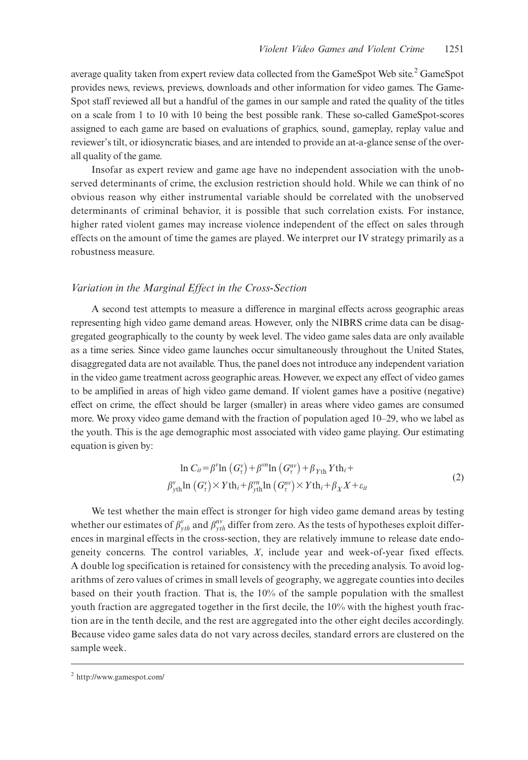average quality taken from expert review data collected from the GameSpot Web site.<sup>2</sup> GameSpot provides news, reviews, previews, downloads and other information for video games. The Game-Spot staff reviewed all but a handful of the games in our sample and rated the quality of the titles on a scale from 1 to 10 with 10 being the best possible rank. These so-called GameSpot-scores assigned to each game are based on evaluations of graphics, sound, gameplay, replay value and reviewer's tilt, or idiosyncratic biases, and are intended to provide an at-a-glance sense of the overall quality of the game.

Insofar as expert review and game age have no independent association with the unobserved determinants of crime, the exclusion restriction should hold. While we can think of no obvious reason why either instrumental variable should be correlated with the unobserved determinants of criminal behavior, it is possible that such correlation exists. For instance, higher rated violent games may increase violence independent of the effect on sales through effects on the amount of time the games are played. We interpret our IV strategy primarily as a robustness measure.

#### Variation in the Marginal Effect in the Cross-Section

A second test attempts to measure a difference in marginal effects across geographic areas representing high video game demand areas. However, only the NIBRS crime data can be disaggregated geographically to the county by week level. The video game sales data are only available as a time series. Since video game launches occur simultaneously throughout the United States, disaggregated data are not available. Thus, the panel does not introduce any independent variation in the video game treatment across geographic areas. However, we expect any effect of video games to be amplified in areas of high video game demand. If violent games have a positive (negative) effect on crime, the effect should be larger (smaller) in areas where video games are consumed more. We proxy video game demand with the fraction of population aged 10–29, who we label as the youth. This is the age demographic most associated with video game playing. Our estimating equation is given by:

$$
\ln C_{it} = \beta^{\nu} \ln \left( G_{\tau}^{\nu} \right) + \beta^{\nu n} \ln \left( G_{\tau}^{n\nu} \right) + \beta_{Yth} Yth_{i} +
$$
  

$$
\beta^{\nu}_{yth} \ln \left( G_{\tau}^{\nu} \right) \times Yth_{i} + \beta^{\nu n}_{yth} \ln \left( G_{\tau}^{n\nu} \right) \times Yth_{i} + \beta_{X} X + \varepsilon_{it}
$$
 (2)

We test whether the main effect is stronger for high video game demand areas by testing whether our estimates of  $\beta_{yth}^v$  and  $\beta_{yth}^{nv}$  differ from zero. As the tests of hypotheses exploit differences in marginal effects in the cross-section, they are relatively immune to release date endogeneity concerns. The control variables, X, include year and week-of-year fixed effects. A double log specification is retained for consistency with the preceding analysis. To avoid logarithms of zero values of crimes in small levels of geography, we aggregate counties into deciles based on their youth fraction. That is, the 10% of the sample population with the smallest youth fraction are aggregated together in the first decile, the 10% with the highest youth fraction are in the tenth decile, and the rest are aggregated into the other eight deciles accordingly. Because video game sales data do not vary across deciles, standard errors are clustered on the sample week.

<sup>2</sup> [http://www.gamespot.com/](http://www.gamespot.com)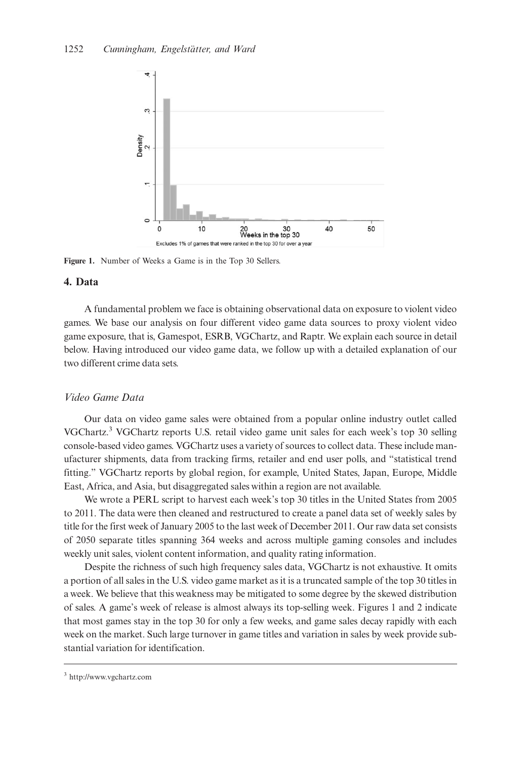

Figure 1. Number of Weeks a Game is in the Top 30 Sellers.

## 4. Data

A fundamental problem we face is obtaining observational data on exposure to violent video games. We base our analysis on four different video game data sources to proxy violent video game exposure, that is, Gamespot, ESRB, VGChartz, and Raptr. We explain each source in detail below. Having introduced our video game data, we follow up with a detailed explanation of our two different crime data sets.

#### Video Game Data

Our data on video game sales were obtained from a popular online industry outlet called VGChartz.<sup>3</sup> VGChartz reports U.S. retail video game unit sales for each week's top 30 selling console-based video games. VGChartz uses a variety of sources to collect data. These include manufacturer shipments, data from tracking firms, retailer and end user polls, and "statistical trend fitting." VGChartz reports by global region, for example, United States, Japan, Europe, Middle East, Africa, and Asia, but disaggregated sales within a region are not available.

We wrote a PERL script to harvest each week's top 30 titles in the United States from 2005 to 2011. The data were then cleaned and restructured to create a panel data set of weekly sales by title for the first week of January 2005 to the last week of December 2011. Our raw data set consists of 2050 separate titles spanning 364 weeks and across multiple gaming consoles and includes weekly unit sales, violent content information, and quality rating information.

Despite the richness of such high frequency sales data, VGChartz is not exhaustive. It omits a portion of all sales in the U.S. video game market as it is a truncated sample of the top 30 titles in a week. We believe that this weakness may be mitigated to some degree by the skewed distribution of sales. A game's week of release is almost always its top-selling week. Figures 1 and 2 indicate that most games stay in the top 30 for only a few weeks, and game sales decay rapidly with each week on the market. Such large turnover in game titles and variation in sales by week provide substantial variation for identification.

<sup>3</sup> <http://www.vgchartz.com>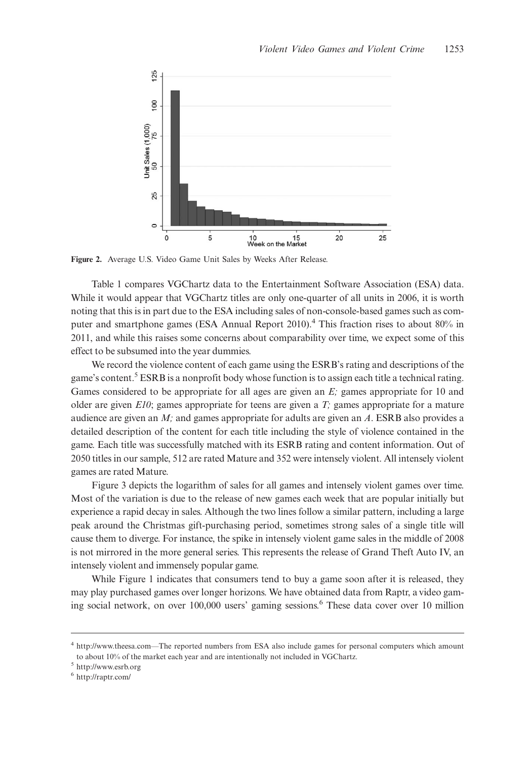

Figure 2. Average U.S. Video Game Unit Sales by Weeks After Release.

Table 1 compares VGChartz data to the Entertainment Software Association (ESA) data. While it would appear that VGChartz titles are only one-quarter of all units in 2006, it is worth noting that this is in part due to the ESA including sales of non-console-based games such as computer and smartphone games (ESA Annual Report 2010).4 This fraction rises to about 80% in 2011, and while this raises some concerns about comparability over time, we expect some of this effect to be subsumed into the year dummies.

We record the violence content of each game using the ESRB's rating and descriptions of the game's content.<sup>5</sup> ESRB is a nonprofit body whose function is to assign each title a technical rating. Games considered to be appropriate for all ages are given an E; games appropriate for 10 and older are given  $E10$ ; games appropriate for teens are given a  $T<sub>i</sub>$  games appropriate for a mature audience are given an  $M$ ; and games appropriate for adults are given an  $A$ . ESRB also provides a detailed description of the content for each title including the style of violence contained in the game. Each title was successfully matched with its ESRB rating and content information. Out of 2050 titles in our sample, 512 are rated Mature and 352 were intensely violent. All intensely violent games are rated Mature.

Figure 3 depicts the logarithm of sales for all games and intensely violent games over time. Most of the variation is due to the release of new games each week that are popular initially but experience a rapid decay in sales. Although the two lines follow a similar pattern, including a large peak around the Christmas gift-purchasing period, sometimes strong sales of a single title will cause them to diverge. For instance, the spike in intensely violent game sales in the middle of 2008 is not mirrored in the more general series. This represents the release of Grand Theft Auto IV, an intensely violent and immensely popular game.

While Figure 1 indicates that consumers tend to buy a game soon after it is released, they may play purchased games over longer horizons. We have obtained data from Raptr, a video gaming social network, on over 100,000 users' gaming sessions.<sup>6</sup> These data cover over 10 million

 $^{\rm 5}$ <http://www.esrb.org>

<sup>4</sup> [http://www.theesa.com—](http://www.theesa.com)The reported numbers from ESA also include games for personal computers which amount to about 10% of the market each year and are intentionally not included in VGChartz.

<sup>6</sup> <http://raptr.com>/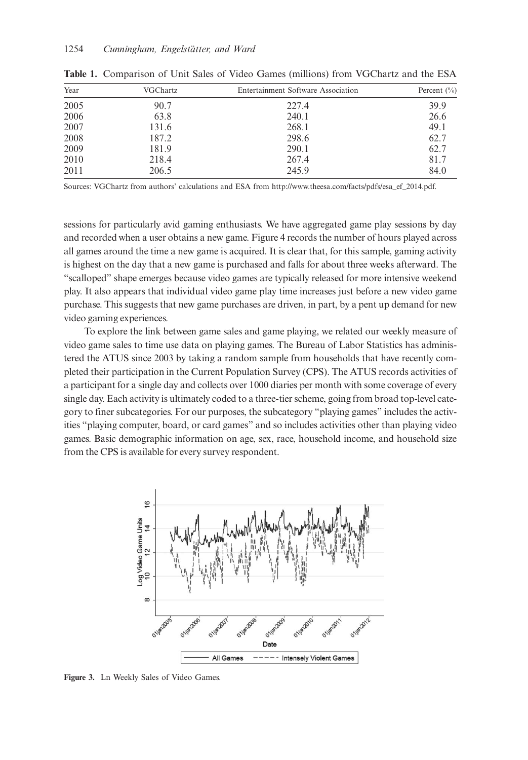| Year | VGChartz | Entertainment Software Association | Percent $(\% )$ |
|------|----------|------------------------------------|-----------------|
| 2005 | 90.7     | 227.4                              | 39.9            |
| 2006 | 63.8     | 240.1                              | 26.6            |
| 2007 | 131.6    | 268.1                              | 49.1            |
| 2008 | 187.2    | 298.6                              | 62.7            |
| 2009 | 181.9    | 290.1                              | 62.7            |
| 2010 | 218.4    | 267.4                              | 81.7            |
| 2011 | 206.5    | 245.9                              | 84.0            |

Table 1. Comparison of Unit Sales of Video Games (millions) from VGChartz and the ESA

Sources: VGChartz from authors' calculations and ESA from [http://www.theesa.com/facts/pdfs/esa\\_ef\\_2014.pdf.](http://www.theesa.com/facts/pdfs/esa_ef_2014.pdf)

sessions for particularly avid gaming enthusiasts. We have aggregated game play sessions by day and recorded when a user obtains a new game. Figure 4 records the number of hours played across all games around the time a new game is acquired. It is clear that, for this sample, gaming activity is highest on the day that a new game is purchased and falls for about three weeks afterward. The "scalloped" shape emerges because video games are typically released for more intensive weekend play. It also appears that individual video game play time increases just before a new video game purchase. This suggests that new game purchases are driven, in part, by a pent up demand for new video gaming experiences.

To explore the link between game sales and game playing, we related our weekly measure of video game sales to time use data on playing games. The Bureau of Labor Statistics has administered the ATUS since 2003 by taking a random sample from households that have recently completed their participation in the Current Population Survey (CPS). The ATUS records activities of a participant for a single day and collects over 1000 diaries per month with some coverage of every single day. Each activity is ultimately coded to a three-tier scheme, going from broad top-level category to finer subcategories. For our purposes, the subcategory "playing games" includes the activities "playing computer, board, or card games" and so includes activities other than playing video games. Basic demographic information on age, sex, race, household income, and household size from the CPS is available for every survey respondent.



Figure 3. Ln Weekly Sales of Video Games.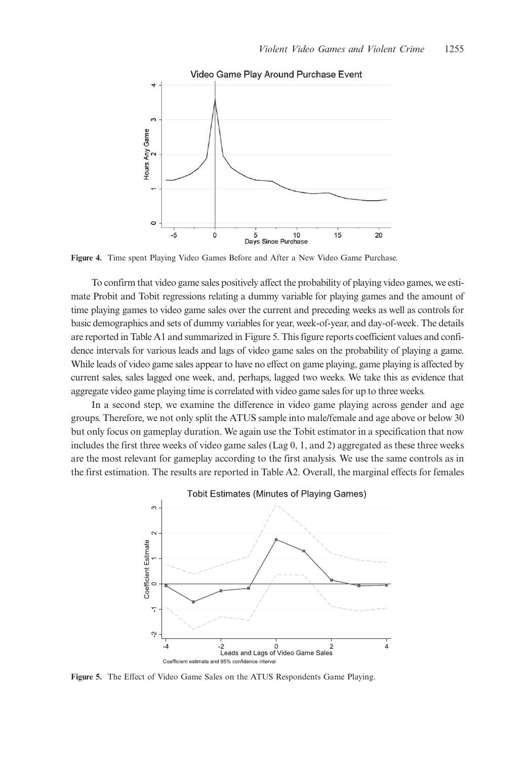

Figure 4. Time spent Playing Video Games Before and After a New Video Game Purchase.

To confirm that video game sales positively affect the probability of playing video games, we estimate Probit and Tobit regressions relating a dummy variable for playing games and the amount of time playing games to video game sales over the current and preceding weeks as well as controls for basic demographics and sets of dummy variables for year, week-of-year, and day-of-week. The details are reported in Table A1 and summarized in Figure 5. This figure reports coefficient values and confidence intervals for various leads and lags of video game sales on the probability of playing a game. While leads of video game sales appear to have no effect on game playing, game playing is affected by current sales, sales lagged one week, and, perhaps, lagged two weeks. We take this as evidence that aggregate video game playing time is correlated with video game sales for up to three weeks.

In a second step, we examine the difference in video game playing across gender and age groups. Therefore, we not only split the ATUS sample into male/female and age above or below 30 but only focus on gameplay duration. We again use the Tobit estimator in a specification that now includes the first three weeks of video game sales (Lag 0, 1, and 2) aggregated as these three weeks are the most relevant for gameplay according to the first analysis. We use the same controls as in the first estimation. The results are reported in Table A2. Overall, the marginal effects for females



Figure 5. The Effect of Video Game Sales on the ATUS Respondents Game Playing.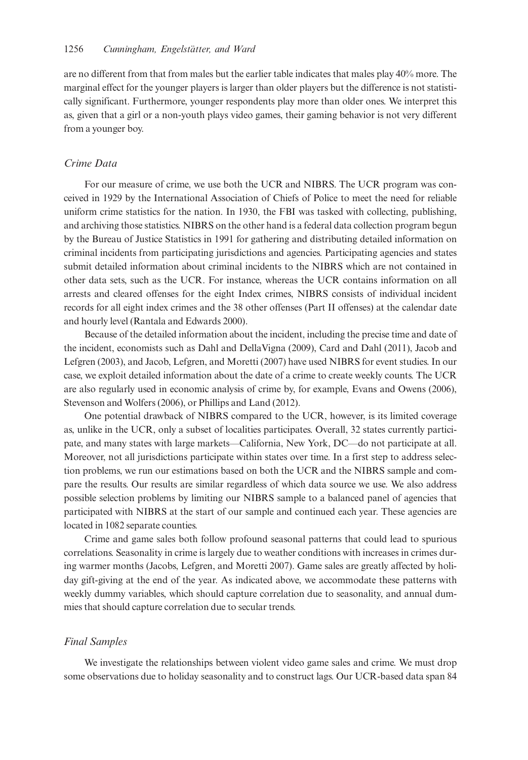are no different from that from males but the earlier table indicates that males play 40% more. The marginal effect for the younger players is larger than older players but the difference is not statistically significant. Furthermore, younger respondents play more than older ones. We interpret this as, given that a girl or a non-youth plays video games, their gaming behavior is not very different from a younger boy.

## Crime Data

For our measure of crime, we use both the UCR and NIBRS. The UCR program was conceived in 1929 by the International Association of Chiefs of Police to meet the need for reliable uniform crime statistics for the nation. In 1930, the FBI was tasked with collecting, publishing, and archiving those statistics. NIBRS on the other hand is a federal data collection program begun by the Bureau of Justice Statistics in 1991 for gathering and distributing detailed information on criminal incidents from participating jurisdictions and agencies. Participating agencies and states submit detailed information about criminal incidents to the NIBRS which are not contained in other data sets, such as the UCR. For instance, whereas the UCR contains information on all arrests and cleared offenses for the eight Index crimes, NIBRS consists of individual incident records for all eight index crimes and the 38 other offenses (Part II offenses) at the calendar date and hourly level (Rantala and Edwards 2000).

Because of the detailed information about the incident, including the precise time and date of the incident, economists such as Dahl and DellaVigna (2009), Card and Dahl (2011), Jacob and Lefgren (2003), and Jacob, Lefgren, and Moretti (2007) have used NIBRS for event studies. In our case, we exploit detailed information about the date of a crime to create weekly counts. The UCR are also regularly used in economic analysis of crime by, for example, Evans and Owens (2006), Stevenson and Wolfers (2006), or Phillips and Land (2012).

One potential drawback of NIBRS compared to the UCR, however, is its limited coverage as, unlike in the UCR, only a subset of localities participates. Overall, 32 states currently participate, and many states with large markets—California, New York, DC—do not participate at all. Moreover, not all jurisdictions participate within states over time. In a first step to address selection problems, we run our estimations based on both the UCR and the NIBRS sample and compare the results. Our results are similar regardless of which data source we use. We also address possible selection problems by limiting our NIBRS sample to a balanced panel of agencies that participated with NIBRS at the start of our sample and continued each year. These agencies are located in 1082 separate counties.

Crime and game sales both follow profound seasonal patterns that could lead to spurious correlations. Seasonality in crime is largely due to weather conditions with increases in crimes during warmer months (Jacobs, Lefgren, and Moretti 2007). Game sales are greatly affected by holiday gift-giving at the end of the year. As indicated above, we accommodate these patterns with weekly dummy variables, which should capture correlation due to seasonality, and annual dummies that should capture correlation due to secular trends.

## Final Samples

We investigate the relationships between violent video game sales and crime. We must drop some observations due to holiday seasonality and to construct lags. Our UCR-based data span 84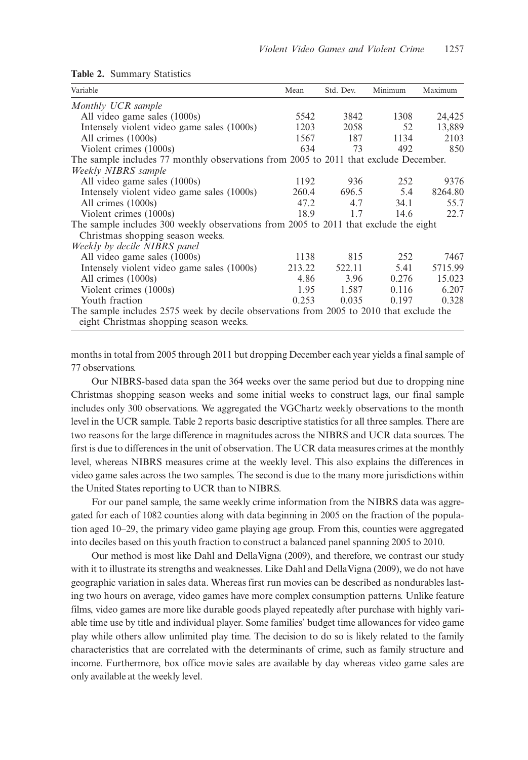| Variable                                                                                | Mean   | Std. Dev. | Minimum | Maximum |
|-----------------------------------------------------------------------------------------|--------|-----------|---------|---------|
| Monthly UCR sample                                                                      |        |           |         |         |
| All video game sales (1000s)                                                            | 5542   | 3842      | 1308    | 24,425  |
| Intensely violent video game sales (1000s)                                              | 1203   | 2058      | 52      | 13,889  |
| All crimes (1000s)                                                                      | 1567   | 187       | 1134    | 2103    |
| Violent crimes (1000s)                                                                  | 634    | 73        | 492     | 850     |
| The sample includes 77 monthly observations from 2005 to 2011 that exclude December.    |        |           |         |         |
| Weekly NIBRS sample                                                                     |        |           |         |         |
| All video game sales (1000s)                                                            | 1192   | 936       | 252     | 9376    |
| Intensely violent video game sales (1000s)                                              | 260.4  | 696.5     | 5.4     | 8264.80 |
| All crimes (1000s)                                                                      | 47.2   | 4.7       | 34.1    | 55.7    |
| Violent crimes (1000s)                                                                  | 18.9   | 1.7       | 14.6    | 22.7    |
| The sample includes 300 weekly observations from 2005 to 2011 that exclude the eight    |        |           |         |         |
| Christmas shopping season weeks.                                                        |        |           |         |         |
| Weekly by decile NIBRS panel                                                            |        |           |         |         |
| All video game sales (1000s)                                                            | 1138   | 815       | 252     | 7467    |
| Intensely violent video game sales (1000s)                                              | 213.22 | 522.11    | 5.41    | 5715.99 |
| All crimes (1000s)                                                                      | 4.86   | 3.96      | 0.276   | 15.023  |
| Violent crimes (1000s)                                                                  | 1.95   | 1.587     | 0.116   | 6.207   |
| Youth fraction                                                                          | 0.253  | 0.035     | 0.197   | 0.328   |
| The sample includes 2575 week by decile observations from 2005 to 2010 that exclude the |        |           |         |         |
| eight Christmas shopping season weeks.                                                  |        |           |         |         |

#### Table 2. Summary Statistics

months in total from 2005 through 2011 but dropping December each year yields a final sample of 77 observations.

Our NIBRS-based data span the 364 weeks over the same period but due to dropping nine Christmas shopping season weeks and some initial weeks to construct lags, our final sample includes only 300 observations. We aggregated the VGChartz weekly observations to the month level in the UCR sample. Table 2 reports basic descriptive statistics for all three samples. There are two reasons for the large difference in magnitudes across the NIBRS and UCR data sources. The first is due to differences in the unit of observation. The UCR data measures crimes at the monthly level, whereas NIBRS measures crime at the weekly level. This also explains the differences in video game sales across the two samples. The second is due to the many more jurisdictions within the United States reporting to UCR than to NIBRS.

For our panel sample, the same weekly crime information from the NIBRS data was aggregated for each of 1082 counties along with data beginning in 2005 on the fraction of the population aged 10–29, the primary video game playing age group. From this, counties were aggregated into deciles based on this youth fraction to construct a balanced panel spanning 2005 to 2010.

Our method is most like Dahl and DellaVigna (2009), and therefore, we contrast our study with it to illustrate its strengths and weaknesses. Like Dahl and DellaVigna (2009), we do not have geographic variation in sales data. Whereas first run movies can be described as nondurables lasting two hours on average, video games have more complex consumption patterns. Unlike feature films, video games are more like durable goods played repeatedly after purchase with highly variable time use by title and individual player. Some families' budget time allowances for video game play while others allow unlimited play time. The decision to do so is likely related to the family characteristics that are correlated with the determinants of crime, such as family structure and income. Furthermore, box office movie sales are available by day whereas video game sales are only available at the weekly level.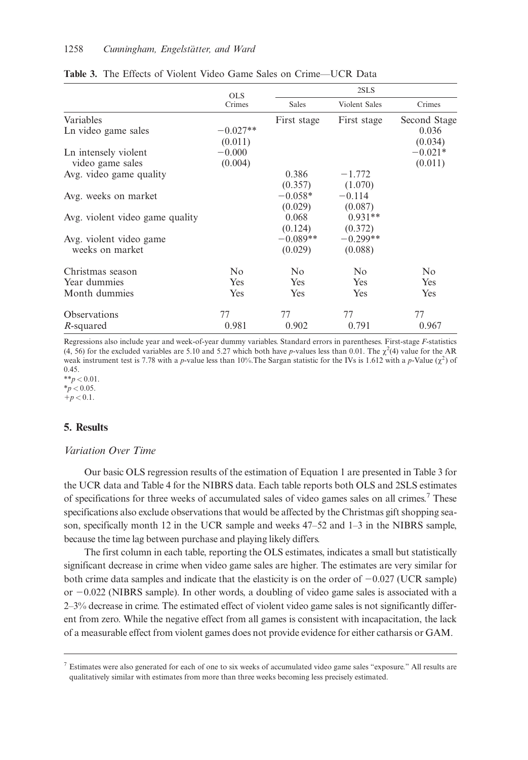|                                 | <b>OLS</b>     |                | 2SLS           |                |  |
|---------------------------------|----------------|----------------|----------------|----------------|--|
|                                 | Crimes         | <b>Sales</b>   | Violent Sales  | Crimes         |  |
| Variables                       |                | First stage    | First stage    | Second Stage   |  |
| Ln video game sales             | $-0.027**$     |                |                | 0.036          |  |
|                                 | (0.011)        |                |                | (0.034)        |  |
| Ln intensely violent            | $-0.000$       |                |                | $-0.021*$      |  |
| video game sales                | (0.004)        |                |                | (0.011)        |  |
| Avg. video game quality         |                | 0.386          | $-1.772$       |                |  |
|                                 |                | (0.357)        | (1.070)        |                |  |
| Avg. weeks on market            |                | $-0.058*$      | $-0.114$       |                |  |
|                                 |                | (0.029)        | (0.087)        |                |  |
| Avg. violent video game quality |                | 0.068          | $0.931**$      |                |  |
|                                 |                | (0.124)        | (0.372)        |                |  |
| Avg. violent video game         |                | $-0.089**$     | $-0.299**$     |                |  |
| weeks on market                 |                | (0.029)        | (0.088)        |                |  |
| Christmas season                | N <sub>o</sub> | N <sub>0</sub> | N <sub>0</sub> | N <sub>0</sub> |  |
| Year dummies                    | <b>Yes</b>     | Yes            | <b>Yes</b>     | <b>Yes</b>     |  |
| Month dummies                   | Yes            | Yes            | Yes            | Yes            |  |
| <b>Observations</b>             | 77             | 77             | 77             | 77             |  |
| R-squared                       | 0.981          | 0.902          | 0.791          | 0.967          |  |

#### Table 3. The Effects of Violent Video Game Sales on Crime—UCR Data

Regressions also include year and week-of-year dummy variables. Standard errors in parentheses. First-stage F-statistics (4, 56) for the excluded variables are 5.10 and 5.27 which both have p-values less than 0.01. The  $\chi^2$ (4) value for the AR weak instrument test is 7.78 with a p-value less than 10%. The Sargan statistic for the IVs is 1.612 with a p-Value  $(\chi^2)$  of 0.45.

 $*^*p < 0.01$ .  $*_{p}$  < 0.05.  $+p < 0.1$ .

## 5. Results

### Variation Over Time

Our basic OLS regression results of the estimation of Equation 1 are presented in Table 3 for the UCR data and Table 4 for the NIBRS data. Each table reports both OLS and 2SLS estimates of specifications for three weeks of accumulated sales of video games sales on all crimes.<sup>7</sup> These specifications also exclude observations that would be affected by the Christmas gift shopping season, specifically month 12 in the UCR sample and weeks 47–52 and 1–3 in the NIBRS sample, because the time lag between purchase and playing likely differs.

The first column in each table, reporting the OLS estimates, indicates a small but statistically significant decrease in crime when video game sales are higher. The estimates are very similar for both crime data samples and indicate that the elasticity is on the order of  $-0.027$  (UCR sample) or  $-0.022$  (NIBRS sample). In other words, a doubling of video game sales is associated with a 2–3% decrease in crime. The estimated effect of violent video game sales is not significantly different from zero. While the negative effect from all games is consistent with incapacitation, the lack of a measurable effect from violent games does not provide evidence for either catharsis or GAM.

 $^7$  Estimates were also generated for each of one to six weeks of accumulated video game sales "exposure." All results are qualitatively similar with estimates from more than three weeks becoming less precisely estimated.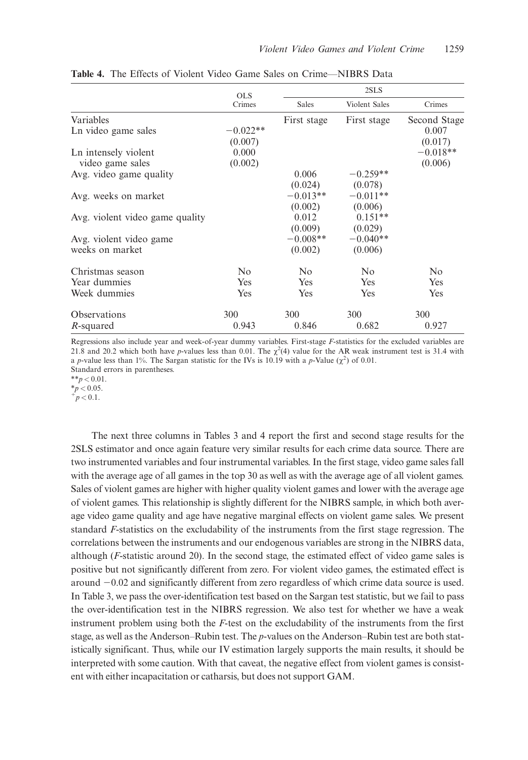|                                 | <b>OLS</b>     |              | 2SLS           |                |  |
|---------------------------------|----------------|--------------|----------------|----------------|--|
|                                 | Crimes         | <b>Sales</b> | Violent Sales  | Crimes         |  |
| Variables                       |                | First stage  | First stage    | Second Stage   |  |
| Ln video game sales             | $-0.022**$     |              |                | 0.007          |  |
|                                 | (0.007)        |              |                | (0.017)        |  |
| Ln intensely violent            | 0.000          |              |                | $-0.018**$     |  |
| video game sales                | (0.002)        |              |                | (0.006)        |  |
| Avg. video game quality         |                | 0.006        | $-0.259**$     |                |  |
|                                 |                | (0.024)      | (0.078)        |                |  |
| Avg. weeks on market            |                | $-0.013**$   | $-0.011**$     |                |  |
|                                 |                | (0.002)      | (0.006)        |                |  |
| Avg. violent video game quality |                | 0.012        | $0.151**$      |                |  |
|                                 |                | (0.009)      | (0.029)        |                |  |
| Avg. violent video game         |                | $-0.008**$   | $-0.040**$     |                |  |
| weeks on market                 |                | (0.002)      | (0.006)        |                |  |
| Christmas season                | N <sub>0</sub> | No           | N <sub>o</sub> | N <sub>0</sub> |  |
| Year dummies                    | Yes            | <b>Yes</b>   | Yes            | Yes            |  |
| Week dummies                    | Yes            | Yes          | Yes            | Yes            |  |
| <b>Observations</b>             | 300            | 300          | 300            | 300            |  |
| R-squared                       | 0.943          | 0.846        | 0.682          | 0.927          |  |

Table 4. The Effects of Violent Video Game Sales on Crime—NIBRS Data

Regressions also include year and week-of-year dummy variables. First-stage F-statistics for the excluded variables are 21.8 and 20.2 which both have p-values less than 0.01. The  $\chi^2$ (4) value for the AR weak instrument test is 31.4 with a p-value less than 1%. The Sargan statistic for the IVs is 10.19 with a p-Value  $(\chi^2)$  of 0.01. Standard errors in parentheses.

\*\* $p < 0.01$ .<br>\* $p < 0.05$ .

 $p < 0.1$ .

The next three columns in Tables 3 and 4 report the first and second stage results for the 2SLS estimator and once again feature very similar results for each crime data source. There are two instrumented variables and four instrumental variables. In the first stage, video game sales fall with the average age of all games in the top 30 as well as with the average age of all violent games. Sales of violent games are higher with higher quality violent games and lower with the average age of violent games. This relationship is slightly different for the NIBRS sample, in which both average video game quality and age have negative marginal effects on violent game sales. We present standard F-statistics on the excludability of the instruments from the first stage regression. The correlations between the instruments and our endogenous variables are strong in the NIBRS data, although (F-statistic around 20). In the second stage, the estimated effect of video game sales is positive but not significantly different from zero. For violent video games, the estimated effect is around  $-0.02$  and significantly different from zero regardless of which crime data source is used. In Table 3, we pass the over-identification test based on the Sargan test statistic, but we fail to pass the over-identification test in the NIBRS regression. We also test for whether we have a weak instrument problem using both the F-test on the excludability of the instruments from the first stage, as well as the Anderson–Rubin test. The p-values on the Anderson–Rubin test are both statistically significant. Thus, while our IV estimation largely supports the main results, it should be interpreted with some caution. With that caveat, the negative effect from violent games is consistent with either incapacitation or catharsis, but does not support GAM.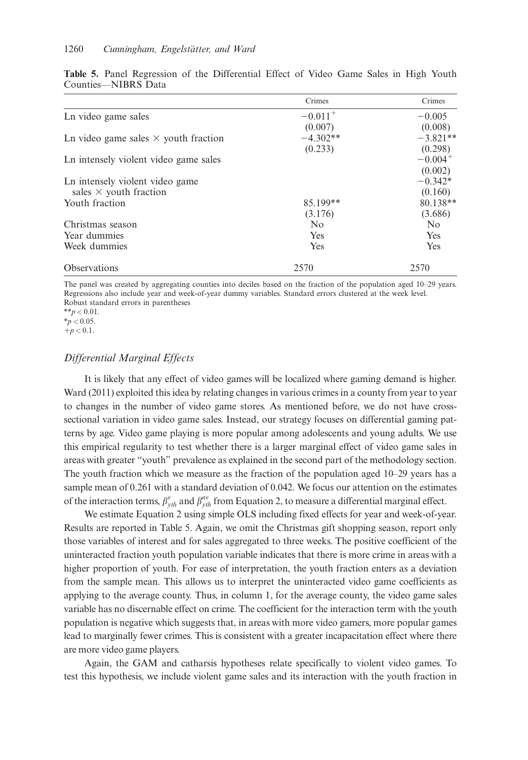|                                             | Crimes         | Crimes         |
|---------------------------------------------|----------------|----------------|
| Ln video game sales                         | $-0.011^{+}$   | $-0.005$       |
|                                             | (0.007)        | (0.008)        |
| Ln video game sales $\times$ youth fraction | $-4.302**$     | $-3.821**$     |
|                                             | (0.233)        | (0.298)        |
| Ln intensely violent video game sales       |                | $-0.004^{+}$   |
|                                             |                | (0.002)        |
| Ln intensely violent video game             |                | $-0.342*$      |
| sales $\times$ youth fraction               |                | (0.160)        |
| Youth fraction                              | 85.199**       | 80.138**       |
|                                             | (3.176)        | (3.686)        |
| Christmas season                            | N <sub>0</sub> | N <sub>0</sub> |
| Year dummies                                | Yes            | Yes            |
| Week dummies                                | Yes            | <b>Yes</b>     |
| <i><b>Observations</b></i>                  | 2570           | 2570           |

Table 5. Panel Regression of the Differential Effect of Video Game Sales in High Youth Counties—NIBRS Data

The panel was created by aggregating counties into deciles based on the fraction of the population aged 10–29 years. Regressions also include year and week-of-year dummy variables. Standard errors clustered at the week level. Robust standard errors in parentheses  $**p < 0.01$ .

## Differential Marginal Effects

It is likely that any effect of video games will be localized where gaming demand is higher. Ward (2011) exploited this idea by relating changes in various crimes in a county from year to year to changes in the number of video game stores. As mentioned before, we do not have crosssectional variation in video game sales. Instead, our strategy focuses on differential gaming patterns by age. Video game playing is more popular among adolescents and young adults. We use this empirical regularity to test whether there is a larger marginal effect of video game sales in areas with greater "youth" prevalence as explained in the second part of the methodology section. The youth fraction which we measure as the fraction of the population aged 10–29 years has a sample mean of 0.261 with a standard deviation of 0.042. We focus our attention on the estimates of the interaction terms,  $\beta_{yth}^v$  and  $\beta_{yth}^{nv}$  from Equation 2, to measure a differential marginal effect.

We estimate Equation 2 using simple OLS including fixed effects for year and week-of-year. Results are reported in Table 5. Again, we omit the Christmas gift shopping season, report only those variables of interest and for sales aggregated to three weeks. The positive coefficient of the uninteracted fraction youth population variable indicates that there is more crime in areas with a higher proportion of youth. For ease of interpretation, the youth fraction enters as a deviation from the sample mean. This allows us to interpret the uninteracted video game coefficients as applying to the average county. Thus, in column 1, for the average county, the video game sales variable has no discernable effect on crime. The coefficient for the interaction term with the youth population is negative which suggests that, in areas with more video gamers, more popular games lead to marginally fewer crimes. This is consistent with a greater incapacitation effect where there are more video game players.

Again, the GAM and catharsis hypotheses relate specifically to violent video games. To test this hypothesis, we include violent game sales and its interaction with the youth fraction in

 $*_{p}$  < 0.05.

 $+p < 0.1.$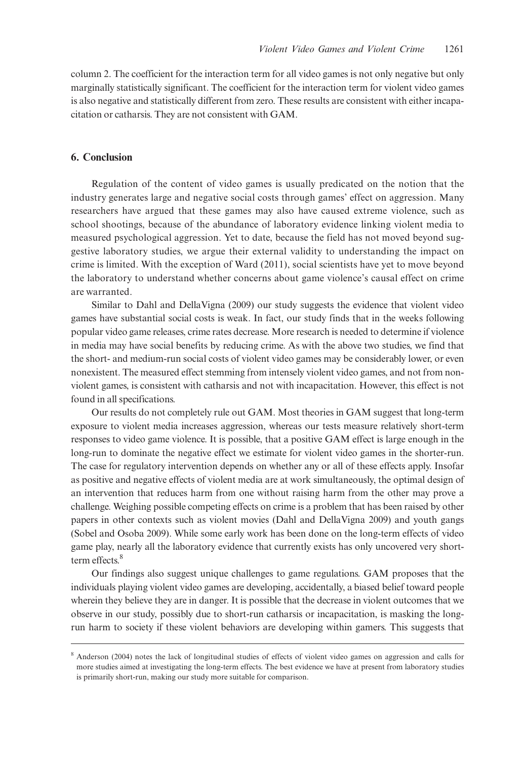column 2. The coefficient for the interaction term for all video games is not only negative but only marginally statistically significant. The coefficient for the interaction term for violent video games is also negative and statistically different from zero. These results are consistent with either incapacitation or catharsis. They are not consistent with GAM.

## 6. Conclusion

Regulation of the content of video games is usually predicated on the notion that the industry generates large and negative social costs through games' effect on aggression. Many researchers have argued that these games may also have caused extreme violence, such as school shootings, because of the abundance of laboratory evidence linking violent media to measured psychological aggression. Yet to date, because the field has not moved beyond suggestive laboratory studies, we argue their external validity to understanding the impact on crime is limited. With the exception of Ward (2011), social scientists have yet to move beyond the laboratory to understand whether concerns about game violence's causal effect on crime are warranted.

Similar to Dahl and DellaVigna (2009) our study suggests the evidence that violent video games have substantial social costs is weak. In fact, our study finds that in the weeks following popular video game releases, crime rates decrease. More research is needed to determine if violence in media may have social benefits by reducing crime. As with the above two studies, we find that the short- and medium-run social costs of violent video games may be considerably lower, or even nonexistent. The measured effect stemming from intensely violent video games, and not from nonviolent games, is consistent with catharsis and not with incapacitation. However, this effect is not found in all specifications.

Our results do not completely rule out GAM. Most theories in GAM suggest that long-term exposure to violent media increases aggression, whereas our tests measure relatively short-term responses to video game violence. It is possible, that a positive GAM effect is large enough in the long-run to dominate the negative effect we estimate for violent video games in the shorter-run. The case for regulatory intervention depends on whether any or all of these effects apply. Insofar as positive and negative effects of violent media are at work simultaneously, the optimal design of an intervention that reduces harm from one without raising harm from the other may prove a challenge. Weighing possible competing effects on crime is a problem that has been raised by other papers in other contexts such as violent movies (Dahl and DellaVigna 2009) and youth gangs (Sobel and Osoba 2009). While some early work has been done on the long-term effects of video game play, nearly all the laboratory evidence that currently exists has only uncovered very shortterm effects.<sup>8</sup>

Our findings also suggest unique challenges to game regulations. GAM proposes that the individuals playing violent video games are developing, accidentally, a biased belief toward people wherein they believe they are in danger. It is possible that the decrease in violent outcomes that we observe in our study, possibly due to short-run catharsis or incapacitation, is masking the longrun harm to society if these violent behaviors are developing within gamers. This suggests that

<sup>8</sup> Anderson (2004) notes the lack of longitudinal studies of effects of violent video games on aggression and calls for more studies aimed at investigating the long-term effects. The best evidence we have at present from laboratory studies is primarily short-run, making our study more suitable for comparison.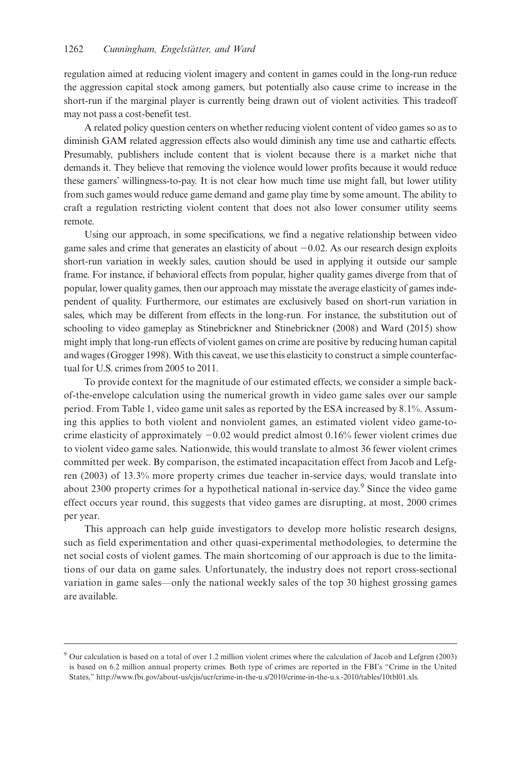regulation aimed at reducing violent imagery and content in games could in the long-run reduce the aggression capital stock among gamers, but potentially also cause crime to increase in the short-run if the marginal player is currently being drawn out of violent activities. This tradeoff may not pass a cost-benefit test.

A related policy question centers on whether reducing violent content of video games so as to diminish GAM related aggression effects also would diminish any time use and cathartic effects. Presumably, publishers include content that is violent because there is a market niche that demands it. They believe that removing the violence would lower profits because it would reduce these gamers' willingness-to-pay. It is not clear how much time use might fall, but lower utility from such games would reduce game demand and game play time by some amount. The ability to craft a regulation restricting violent content that does not also lower consumer utility seems remote.

Using our approach, in some specifications, we find a negative relationship between video game sales and crime that generates an elasticity of about  $-0.02$ . As our research design exploits short-run variation in weekly sales, caution should be used in applying it outside our sample frame. For instance, if behavioral effects from popular, higher quality games diverge from that of popular, lower quality games, then our approach may misstate the average elasticity of games independent of quality. Furthermore, our estimates are exclusively based on short-run variation in sales, which may be different from effects in the long-run. For instance, the substitution out of schooling to video gameplay as Stinebrickner and Stinebrickner (2008) and Ward (2015) show might imply that long-run effects of violent games on crime are positive by reducing human capital and wages (Grogger 1998). With this caveat, we use this elasticity to construct a simple counterfactual for U.S. crimes from 2005 to 2011.

To provide context for the magnitude of our estimated effects, we consider a simple backof-the-envelope calculation using the numerical growth in video game sales over our sample period. From Table 1, video game unit sales as reported by the ESA increased by 8.1%. Assuming this applies to both violent and nonviolent games, an estimated violent video game-tocrime elasticity of approximately  $-0.02$  would predict almost 0.16% fewer violent crimes due to violent video game sales. Nationwide, this would translate to almost 36 fewer violent crimes committed per week. By comparison, the estimated incapacitation effect from Jacob and Lefgren (2003) of 13.3% more property crimes due teacher in-service days, would translate into about 2300 property crimes for a hypothetical national in-service day.<sup>9</sup> Since the video game effect occurs year round, this suggests that video games are disrupting, at most, 2000 crimes per year.

This approach can help guide investigators to develop more holistic research designs, such as field experimentation and other quasi-experimental methodologies, to determine the net social costs of violent games. The main shortcoming of our approach is due to the limitations of our data on game sales. Unfortunately, the industry does not report cross-sectional variation in game sales—only the national weekly sales of the top 30 highest grossing games are available.

<sup>9</sup> Our calculation is based on a total of over 1.2 million violent crimes where the calculation of Jacob and Lefgren (2003) is based on 6.2 million annual property crimes. Both type of crimes are reported in the FBI's "Crime in the United States," [http://www.fbi.gov/about-us/cjis/ucr/crime-in-the-u.s/2010/crime-in-the-u.s.-2010/tables/10tbl01.xls.](http://www.fbi.gov/about-us/cjis/ucr/crime-in-the-u.s/2010/crime-in-the-u.s.-2010/tables/10tbl01.xls)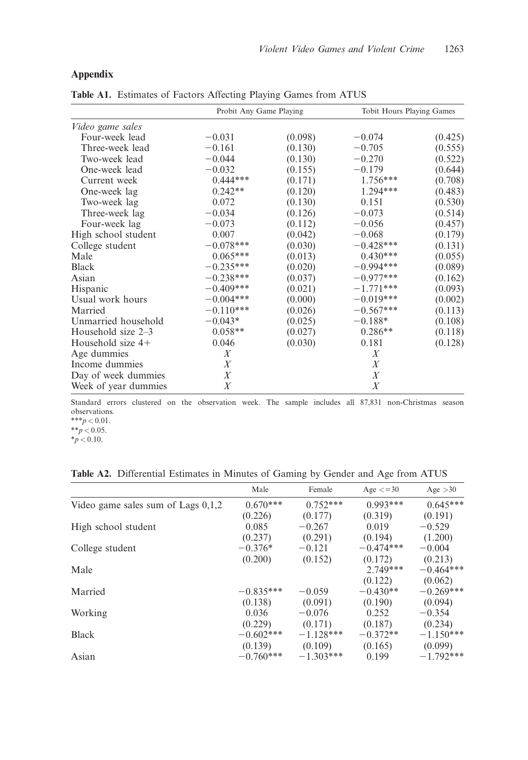## Appendix

|                         | Probit Any Game Playing |         |                  | Tobit Hours Playing Games |  |
|-------------------------|-------------------------|---------|------------------|---------------------------|--|
| <i>Video game sales</i> |                         |         |                  |                           |  |
| Four-week lead          | $-0.031$                | (0.098) | $-0.074$         | (0.425)                   |  |
| Three-week lead         | $-0.161$                | (0.130) | $-0.705$         | (0.555)                   |  |
| Two-week lead           | $-0.044$                | (0.130) | $-0.270$         | (0.522)                   |  |
| One-week lead           | $-0.032$                | (0.155) | $-0.179$         | (0.644)                   |  |
| Current week            | $0.444***$              | (0.171) | $1.756***$       | (0.708)                   |  |
| One-week lag            | $0.242**$               | (0.120) | 1.294***         | (0.483)                   |  |
| Two-week lag            | 0.072                   | (0.130) | 0.151            | (0.530)                   |  |
| Three-week lag          | $-0.034$                | (0.126) | $-0.073$         | (0.514)                   |  |
| Four-week lag           | $-0.073$                | (0.112) | $-0.056$         | (0.457)                   |  |
| High school student     | 0.007                   | (0.042) | $-0.068$         | (0.179)                   |  |
| College student         | $-0.078***$             | (0.030) | $-0.428***$      | (0.131)                   |  |
| Male                    | $0.065***$              | (0.013) | $0.430***$       | (0.055)                   |  |
| Black                   | $-0.235***$             | (0.020) | $-0.994***$      | (0.089)                   |  |
| Asian                   | $-0.238***$             | (0.037) | $-0.977***$      | (0.162)                   |  |
| Hispanic                | $-0.409***$             | (0.021) | $-1.771***$      | (0.093)                   |  |
| Usual work hours        | $-0.004***$             | (0.000) | $-0.019***$      | (0.002)                   |  |
| Married                 | $-0.110***$             | (0.026) | $-0.567***$      | (0.113)                   |  |
| Unmarried household     | $-0.043*$               | (0.025) | $-0.188*$        | (0.108)                   |  |
| Household size $2-3$    | $0.058**$               | (0.027) | $0.286**$        | (0.118)                   |  |
| Household size $4+$     | 0.046                   | (0.030) | 0.181            | (0.128)                   |  |
| Age dummies             | X                       |         | X                |                           |  |
| Income dummies          | X                       |         | $\boldsymbol{X}$ |                           |  |
| Day of week dummies     | X                       |         | $\boldsymbol{X}$ |                           |  |
| Week of year dummies    | $\boldsymbol{X}$        |         | $\boldsymbol{X}$ |                           |  |

Table A1. Estimates of Factors Affecting Playing Games from ATUS

Standard errors clustered on the observation week. The sample includes all 87,831 non-Christmas season observations. \*\*\* $p < 0.01$ . \*\* $p < 0.05$ .

 $\frac{1}{p} < 0.10$ .

|                                      | Male        | Female     | Age $\leq$ = 30 | Age $>30$   |
|--------------------------------------|-------------|------------|-----------------|-------------|
| Video game sales sum of Lags $0,1,2$ | $0.670***$  | $0.752***$ | $0.993***$      | $0.645***$  |
|                                      | (0.226)     | (0.177)    | (0.319)         | (0.191)     |
| High school student                  | 0.085       | $-0.267$   | 0.019           | $-0.529$    |
|                                      | (0.237)     | (0.291)    | (0.194)         | (1.200)     |
| College student                      | $-0.376*$   | $-0.121$   | $-0.474***$     | $-0.004$    |
|                                      | (0.200)     | (0.152)    | (0.172)         | (0.213)     |
| Male                                 |             |            | $2.749***$      | $-0.464***$ |
|                                      |             |            | (0.122)         | (0.062)     |
| Married                              | $-0.835***$ | $-0.059$   | $-0.430**$      | $-0.269***$ |
|                                      | (0.138)     | (0.091)    | (0.190)         | (0.094)     |

Working  $0.036$   $-0.076$   $0.252$   $-0.354$ 

Table A2. Differential Estimates in Minutes of Gaming by Gender and Age from ATUS

 $(0.229)$   $(0.171)$   $(0.187)$   $(0.234)$ <br>  $-0.602***$   $-1.128***$   $-0.372**$   $-1.150***$ Black  $-0.602^{***}$   $-1.128^{***}$   $-0.372^{**}$   $-1.150^{*}$ <br>(0.139) (0.109) (0.165) (0.099)  $(0.109)$   $(0.165)$   $(0.099)$ <br>-1.303\*\*\* 0.199 -1.792\*\*\* Asian  $-0.760***$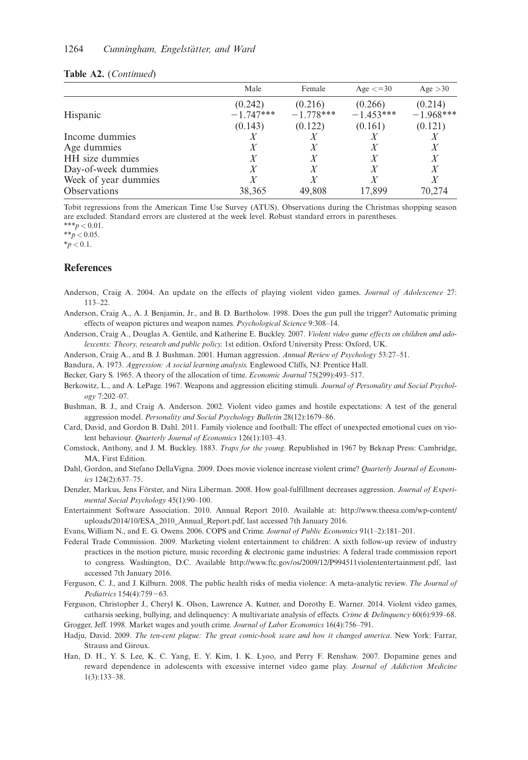|  | Table A2. (Continued) |
|--|-----------------------|
|--|-----------------------|

|                      | Male        | Female      | Age $\leq$ = 30 | Age $>30$        |
|----------------------|-------------|-------------|-----------------|------------------|
|                      | (0.242)     | (0.216)     | (0.266)         | (0.214)          |
| Hispanic             | $-1.747***$ | $-1.778***$ | $-1.453***$     | $-1.968***$      |
|                      | (0.143)     | (0.122)     | (0.161)         | (0.121)          |
| Income dummies       | X           |             |                 |                  |
| Age dummies          | X           |             |                 |                  |
| HH size dummies      | X           | X           |                 | $\boldsymbol{X}$ |
| Day-of-week dummies  | Х           |             |                 |                  |
| Week of year dummies | Х           | X           |                 |                  |
| <b>Observations</b>  | 38,365      | 49,808      | 17.899          | 70,274           |

Tobit regressions from the American Time Use Survey (ATUS). Observations during the Christmas shopping season are excluded. Standard errors are clustered at the week level. Robust standard errors in parentheses.  $***p<0.01$ .

\*\* $p < 0.05$ .

 $*_{p}$  < 0.1.

### References

Anderson, Craig A. 2004. An update on the effects of playing violent video games. Journal of Adolescence 27: 113–22.

- Anderson, Craig A., A. J. Benjamin, Jr., and B. D. Bartholow. 1998. Does the gun pull the trigger? Automatic priming effects of weapon pictures and weapon names. Psychological Science 9:308–14.
- Anderson, Craig A., Douglas A. Gentile, and Katherine E. Buckley. 2007. Violent video game effects on children and adolescents: Theory, research and public policy. 1st edition. Oxford University Press: Oxford, UK.
- Anderson, Craig A., and B. J. Bushman. 2001. Human aggression. Annual Review of Psychology 53:27–51.

Bandura, A. 1973. Aggression: A social learning analysis. Englewood Cliffs, NJ: Prentice Hall.

Becker, Gary S. 1965. A theory of the allocation of time. Economic Journal 75(299):493–517.

Berkowitz, L., and A. LePage. 1967. Weapons and aggression eliciting stimuli. Journal of Personality and Social Psychology 7:202–07.

Bushman, B. J., and Craig A. Anderson. 2002. Violent video games and hostile expectations: A test of the general aggression model. Personality and Social Psychology Bulletin 28(12):1679–86.

- Card, David, and Gordon B. Dahl. 2011. Family violence and football: The effect of unexpected emotional cues on violent behaviour. Quarterly Journal of Economics 126(1):103–43.
- Comstock, Anthony, and J. M. Buckley. 1883. Traps for the young. Republished in 1967 by Beknap Press: Cambridge, MA, First Edition.
- Dahl, Gordon, and Stefano DellaVigna. 2009. Does movie violence increase violent crime? *Quarterly Journal of Econom*ics 124(2):637–75.
- Denzler, Markus, Jens Förster, and Nira Liberman. 2008. How goal-fulfillment decreases aggression. Journal of Experimental Social Psychology 45(1):90–100.

Entertainment Software Association. 2010. Annual Report 2010. Available at: [http://www.theesa.com/wp-content/](http://www.theesa.com/wp-content/uploads/2014/10/ESA_2010_Annual_Report.pdf) [uploads/2014/10/ESA\\_2010\\_Annual\\_Report.pdf](http://www.theesa.com/wp-content/uploads/2014/10/ESA_2010_Annual_Report.pdf), last accessed 7th January 2016.

Evans, William N., and E. G. Owens. 2006. COPS and Crime. Journal of Public Economics 91(1–2):181–201.

- Federal Trade Commission. 2009. Marketing violent entertainment to children: A sixth follow-up review of industry practices in the motion picture, music recording & electronic game industries: A federal trade commission report to congress. Washington, D.C. Available [http://www.ftc.gov/os/2009/12/P994511violententertainment.pdf,](http://www.ftc.gov/os/2009/12/P994511violententertainment.pdf) last accessed 7th January 2016.
- Ferguson, C. J., and J. Kilburn. 2008. The public health risks of media violence: A meta-analytic review. The Journal of Pediatrics 154(4):759-63.
- Ferguson, Christopher J., Cheryl K. Olson, Lawrence A. Kutner, and Dorothy E. Warner. 2014. Violent video games, catharsis seeking, bullying, and delinquency: A multivariate analysis of effects. Crime & Delinquency 60(6):939–68.

Grogger, Jeff. 1998. Market wages and youth crime. Journal of Labor Economics 16(4):756–791.

- Hadju, David. 2009. The ten-cent plague: The great comic-book scare and how it changed america. New York: Farrar, Strauss and Giroux.
- Han, D. H., Y. S. Lee, K. C. Yang, E. Y. Kim, I. K. Lyoo, and Perry F. Renshaw. 2007. Dopamine genes and reward dependence in adolescents with excessive internet video game play. Journal of Addiction Medicine 1(3):133–38.